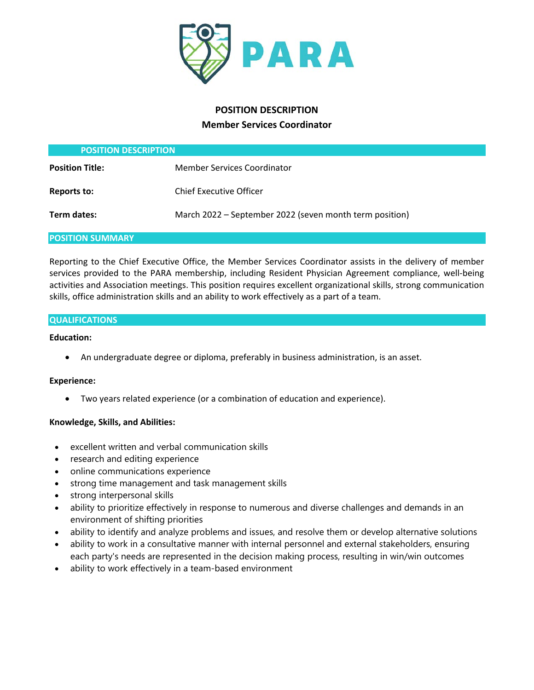

# **POSITION DESCRIPTION Member Services Coordinator**

| <b>POSITION DESCRIPTION</b> |                                                         |
|-----------------------------|---------------------------------------------------------|
| <b>Position Title:</b>      | <b>Member Services Coordinator</b>                      |
| <b>Reports to:</b>          | <b>Chief Executive Officer</b>                          |
| Term dates:                 | March 2022 – September 2022 (seven month term position) |

# **POSITION SUMMARY**

Reporting to the Chief Executive Office, the Member Services Coordinator assists in the delivery of member services provided to the PARA membership, including Resident Physician Agreement compliance, well-being activities and Association meetings. This position requires excellent organizational skills, strong communication skills, office administration skills and an ability to work effectively as a part of a team.

### **QUALIFICATIONS**

### **Education:**

• An undergraduate degree or diploma, preferably in business administration, is an asset.

# **Experience:**

• Two years related experience (or a combination of education and experience).

# **Knowledge, Skills, and Abilities:**

- excellent written and verbal communication skills
- research and editing experience
- online communications experience
- strong time management and task management skills
- strong interpersonal skills
- ability to prioritize effectively in response to numerous and diverse challenges and demands in an environment of shifting priorities
- ability to identify and analyze problems and issues, and resolve them or develop alternative solutions
- ability to work in a consultative manner with internal personnel and external stakeholders, ensuring each party's needs are represented in the decision making process, resulting in win/win outcomes
- ability to work effectively in a team-based environment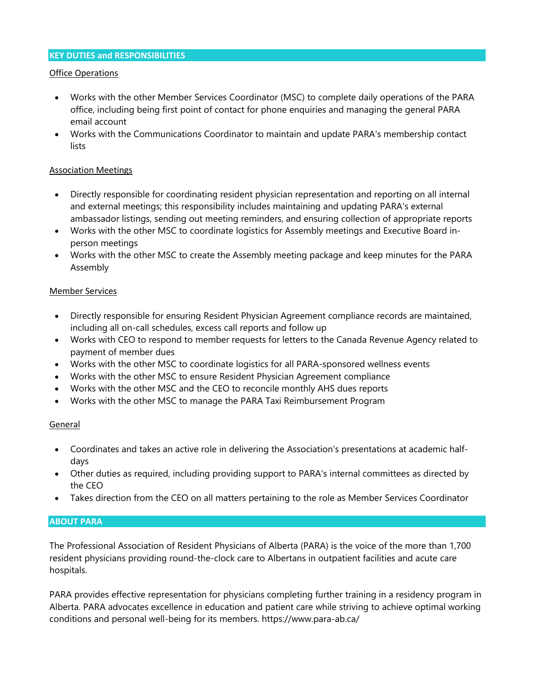# **KEY DUTIES and RESPONSIBILITIES**

# Office Operations

- Works with the other Member Services Coordinator (MSC) to complete daily operations of the PARA office, including being first point of contact for phone enquiries and managing the general PARA email account
- Works with the Communications Coordinator to maintain and update PARA's membership contact lists

# Association Meetings

- Directly responsible for coordinating resident physician representation and reporting on all internal and external meetings; this responsibility includes maintaining and updating PARA's external ambassador listings, sending out meeting reminders, and ensuring collection of appropriate reports
- Works with the other MSC to coordinate logistics for Assembly meetings and Executive Board inperson meetings
- Works with the other MSC to create the Assembly meeting package and keep minutes for the PARA Assembly

### Member Services

- Directly responsible for ensuring Resident Physician Agreement compliance records are maintained, including all on-call schedules, excess call reports and follow up
- Works with CEO to respond to member requests for letters to the Canada Revenue Agency related to payment of member dues
- Works with the other MSC to coordinate logistics for all PARA-sponsored wellness events
- Works with the other MSC to ensure Resident Physician Agreement compliance
- Works with the other MSC and the CEO to reconcile monthly AHS dues reports
- Works with the other MSC to manage the PARA Taxi Reimbursement Program

# General

- Coordinates and takes an active role in delivering the Association's presentations at academic halfdays
- Other duties as required, including providing support to PARA's internal committees as directed by the CEO
- Takes direction from the CEO on all matters pertaining to the role as Member Services Coordinator

# **ABOUT PARA**

The Professional Association of Resident Physicians of Alberta (PARA) is the voice of the more than 1,700 resident physicians providing round-the-clock care to Albertans in outpatient facilities and acute care hospitals.

PARA provides effective representation for physicians completing further training in a residency program in Alberta. PARA advocates excellence in education and patient care while striving to achieve optimal working conditions and personal well-being for its members. https://www.para-ab.ca/